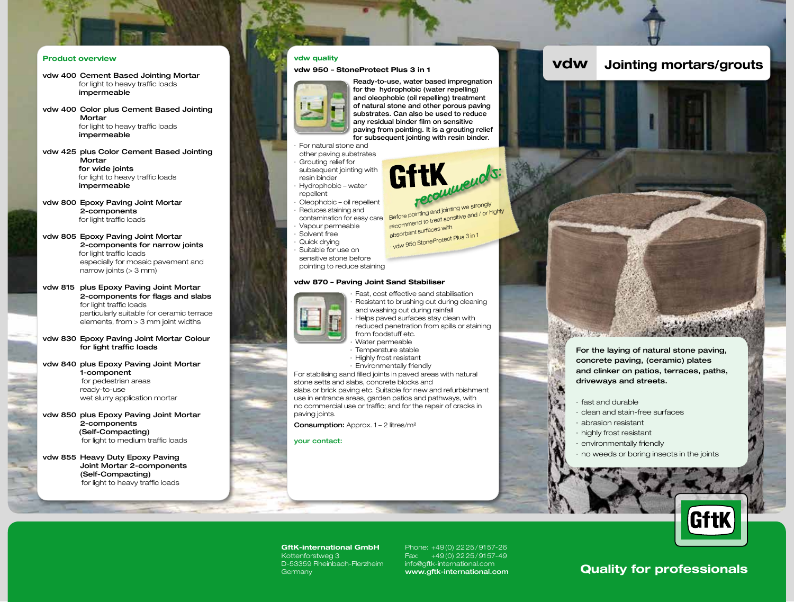## Product overview

- vdw 400 Cement Based Jointing Mortar for light to heavy traffic loads impermeable
- vdw 400 Color plus Cement Based Jointing **Mortar**  for light to heavy traffic loads impermeable
- vdw 425 plus Color Cement Based Jointing **Mortar** for wide joints for light to heavy traffic loads impermeable

vdw 800 Epoxy Paving Joint Mortar 2-components for light traffic loads

vdw 805 Epoxy Paving Joint Mortar 2-components for narrow joints for light traffic loads especially for mosaic pavement and narrow joints (> 3 mm)

- vdw 815 plus Epoxy Paving Joint Mortar 2-components for flags and slabs for light traffic loads particularly suitable for ceramic terrace elements, from > 3 mm joint widths
- vdw 830 Epoxy Paving Joint Mortar Colour for light traffic loads
- vdw 840 plus Epoxy Paving Joint Mortar 1-component for pedestrian areas ready-to-use wet slurry application mortar
- vdw 850 plus Epoxy Paving Joint Mortar 2-components (Self-Compacting) for light to medium traffic loads

vdw 855 Heavy Duty Epoxy Paving Joint Mortar 2-components (Self-Compacting) for light to heavy traffic loads

vdw 950 – StoneProtect Plus 3 in 1



Ready-to-use, water based impregnation for the hydrophobic (water repelling) and oleophobic (oil repelling) treatment of natural stone and other porous paving substrates. Can also be used to reduce any residual binder film on sensitive paving from pointing. It is a grouting relief for subsequent jointing with resin binder.

GittK<sub>ecourrect</sub>s:

· vdw 950 StoneProtect Plus 3 in 1

For natural stone and other paving substrates Grouting relief for subsequent jointing with resin binder · Hydrophobic – water

- repellent
- · Oleophobic oil repellent
- · Reduces staining and

contamination for easy care Before pointing and jointing we strongly<br>Before pointing used sensitive and / or h recommend to treat sensitive and / or highly absorbant surfaces with

· Vapour permeable

- · Solvent free
- Quick drvina

Suitable for use on sensitive stone before

pointing to reduce staining

### vdw 870 – Paving Joint Sand Stabiliser



Fast, cost effective sand stabilisation Resistant to brushing out during cleaning and washing out during rainfall · Helps paved surfaces stay clean with reduced penetration from spills or staining from foodstuff etc. · Water permeable

- · Temperature stable
- · Highly frost resistant
- · Environmentally friendly

For stabilising sand filled joints in paved areas with natural stone setts and slabs, concrete blocks and slabs or brick paving etc. Suitable for new and refurbishment use in entrance areas, garden patios and pathways, with no commercial use or traffic; and for the repair of cracks in paving joints.

Consumption: Approx. 1 - 2 litres/m<sup>2</sup>

#### your contact:





- driveways and streets.
- · fast and durable
- · clean and stain-free surfaces
- · abrasion resistant
- · highly frost resistant
- · environmentally friendly
- · no weeds or boring insects in the joints



GftK-international GmbH Kottenforstweg 3 D-53359 Rheinbach-Flerzheim **Germany** 

Phone: +49(0) 2225/9157-26 Fax: +49(0) 2225/9157-49 info@gftk-international.com

# Into@grtk-international.com **Quality for professionals**